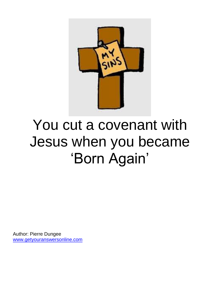

# You cut a covenant with Jesus when you became 'Born Again'

Author: Pierre Dungee [www.getyouranswersonline.com](http://www.getyouranswersonline.com/)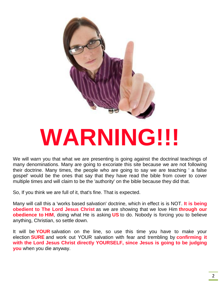

# **WARNING!!!**

We will warn you that what we are presenting is going against the doctrinal teachings of many denominations. Many are going to excoriate this site because we are not following their doctrine. Many times, the people who are going to say we are teaching ' a false gospel' would be the ones that say that they have read the bible from cover to cover multiple times and will claim to be the 'authority' on the bible because they did that.

So, If you think we are full of it, that's fine. That is expected.

Many will call this a 'works based salvation' doctrine, which in effect is is NOT. **It is being obedient to The Lord Jesus Christ** as we are showing that we love Him **through our obedience to HIM**, doing what He is asking **US** to do. Nobody is forcing you to believe anything, Christian, so settle down.

It will be **YOUR** salvation on the line, so use this time you have to make your election **SURE** and work out YOUR salvation with fear and trembling by **confirming it with the Lord Jesus Christ directly YOURSELF, since Jesus is going to be judging you** when you die anyway.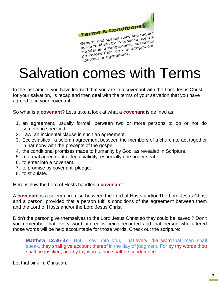

Terms & Concerned and required<br>General and special rules and required<br>General and special rules and required as General and special rules and required<br>General and special rules and required<br>agree to abide by in order to use a securication General and special funder to use a 5th<br>agree to abide by in order to use a 5th<br>agree to abide by in order to use a 5th<br>standards, arrangements, specificati General abide by III orients, specifically<br>agree to abide by III orients, specifical<br>standards, arrangements, specifical<br>provisions that form an integral part provisions that form of<br>provisions that form of<br>contract or agreement.

## Salvation comes with Terms

In the last article, you have learned that you are in a covenant with the Lord Jesus Christ for your salvation, l's recap and then deal with the terms of your salvation that you have agreed to in your covenant.

So what is a **covenant**? Let's take a look at what a **covenant** is defined as:

- 1. an agreement, usually formal, between two or more persons to do or not do something specified.
- 2. Law. an incidental clause in such an agreement.
- 3. Ecclesiastical. a solemn agreement between the members of a church to act together in harmony with the precepts of the gospel.
- 4. the conditional promises made to humanity by God, as revealed in Scripture.
- 5. a formal agreement of legal validity, especially one under seal.
- 6. to enter into a covenant.
- 7. to promise by covenant; pledge.
- 8. to stipulate.

Here is how the Lord of Hosts handles a **covenant**:

A **covenant** is a solemn promise between the Lord of Hosts and/or The Lord Jesus Christ and a person, provided that a person fulfills conditions of the agreement between them and the Lord of Hosts and/or the Lord Jesus Christ

Didn't the person give themselves to the Lord Jesus Christ so they could be 'saved'? Don't you remember that every word uttered is being recorded and that person who uttered those words will be held accountable for those words. Check out the scripture:

**Matthew 12:36-37** - But I say unto you, That every idle word that men shall speak, they shall give account thereof in the day of judgment. For by thy words thou shalt be justified, and by thy words thou shalt be condemned.

Let that sink in, Christian.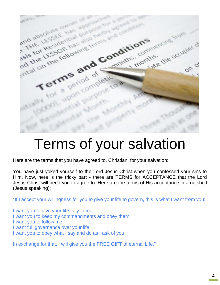

#### Terms of your salvation

Here are the terms that you have agreed to, Christian, for your salvation:

You have just yoked yourself to the Lord Jesus Christ when you confessed your sins to Him. Now, here is the tricky part - there are TERMS for ACCEPTANCE that the Lord Jesus Christ will need you to agree to. Here are the terms of His acceptance in a nutshell (Jesus speaking):

"If I accept your willingness for you to give your life to govern, this is what I want from you:

I want you to give your life fully to me;

- I want you to keep my commandments and obey them;
- I want you to follow me;
- I want full governance over your life;
- I want you to obey what I say and do as I ask of you.

In exchange for that, I will give you the FREE GIFT of eternal Life."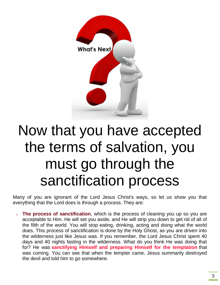

## Now that you have accepted the terms of salvation, you must go through the sanctification process

Many of you are ignorant of the Lord Jesus Christ's ways, so let us show you that everything that the Lord does is through a process. They are:

o **The process of sanctification**, which is the process of cleaning you up so you are acceptable to Him. He will set you aside, and He will strip you down to get rid of all of the filth of the world. You will stop eating, drinking, acting and doing what the world does. This process of sanctification is done by the Holy Ghost, as you are driven into the wilderness just like Jesus was. If you remember, the Lord Jesus Christ spent 40 days and 40 nights fasting in the wilderness. What do you think He was doing that for? He was **sanctifying Himself and preparing Himself for the temptation** that was coming. You can see that when the tempter came, Jesus summarily destroyed the devil and told him to go somewhere.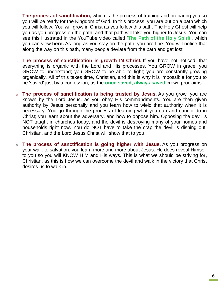- o **The process of sanctification,** which is the process of training and preparing you so you will be ready for the Kingdom of God. In this process, you are put on a path which you will follow. You will grow in Christ as you follow this path. The Holy Ghost will help you as you progress on the path, and that path will take you higher to Jesus. You can see this illustrated in the YouTube video called '**The Path of the Holy Spirit**', which you can view **[here.](https://www.youtube.com/watch?v=i7xQOCP1Vrk)** As long as you stay on the path, you are fine. You will notice that along the way on this path, many people deviate from the path and get lost.
- o **The process of sanctification is growth IN Christ.** If you have not noticed, that everything is organic with the Lord and His processes. You GROW in grace; you GROW to understand; you GROW to be able to fight; you are constantly growing organically. All of this takes time, Christian, and this is why it is impossible for you to be 'saved' just by a confession, as the **once saved, always saved** crowd proclaims.
- o **The process of sanctification is being trusted by Jesus.** As you grow, you are known by the Lord Jesus, as you obey His commandments. You are then given authority by Jesus personally and you learn how to wield that authority when it is necessary. You go through the process of learning what you can and cannot do in Christ; you learn about the adversary, and how to oppose him. Opposing the devil is NOT taught in churches today, and the devil is destroying many of your homes and households right now. You do NOT have to take the crap the devil is dishing out, Christian, and the Lord Jesus Christ will show that to you.
- o **The process of sanctification is going higher with Jesus.** As you progress on your walk to salvation, you learn more and more about Jesus. He does reveal Himself to you so you will KNOW HIM and His ways. This is what we should be striving for, Christian, as this is how we can overcome the devil and walk in the victory that Christ desires us to walk in.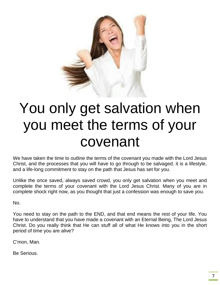

## You only get salvation when you meet the terms of your covenant

We have taken the time to outline the terms of the covenant you made with the Lord Jesus Christ, and the processes that you will have to go through to be salvaged. it is a lifestyle, and a life-long commitment to stay on the path that Jesus has set for you.

Unlike the once saved, always saved crowd, you only get salvation when you meet and complete the terms of your covenant with the Lord Jesus Christ. Many of you are in complete shock right now, as you thought that just a confession was enough to save you.

No.

You need to stay on the path to the END, and that end means the rest of your life. You have to understand that you have made a covenant with an Eternal Being, The Lord Jesus Christ. Do you really think that He can stuff all of what He knows into you in the short period of time you are alive?

C'mon, Man.

Be Serious.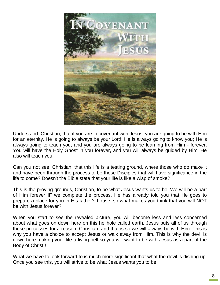

Understand, Christian, that if you are in covenant with Jesus, you are going to be with Him for an eternity. He is going to always be your Lord; He is always going to know you; He is always going to teach you; and you are always going to be learning from Him - forever. You will have the Holy Ghost in you forever, and you will always be guided by Him. He also will teach you.

Can you not see, Christian, that this life is a testing ground, where those who do make it and have been through the process to be those Disciples that will have significance in the life to come? Doesn't the Bible state that your life is like a wisp of smoke?

This is the proving grounds, Christian, to be what Jesus wants us to be. We will be a part of Him forever IF we complete the process. He has already told you that He goes to prepare a place for you in His father's house, so what makes you think that you will NOT be with Jesus forever?

When you start to see the revealed picture, you will become less and less concerned about what goes on down here on this hellhole called earth. Jesus puts all of us through these processes for a reason, Christian, and that is so we will always be with Him. This is why you have a choice to accept Jesus or walk away from Him. This is why the devil is down here making your life a living hell so you will want to be with Jesus as a part of the Body of Christ!!

What we have to look forward to is much more significant that what the devil is dishing up. Once you see this, you will strive to be what Jesus wants you to be.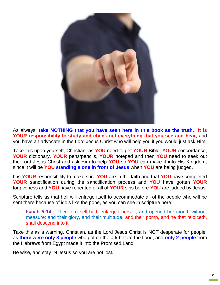

As always, **take NOTHING that you have seen here in this book as the truth**. **It is YOUR responsibility to study and check out everything that you see and hear**, and you have an advocate in the Lord Jesus Christ who will help you if you would just ask Him.

Take this upon yourself, Christian, as **YOU** need to get **YOUR** Bible, **YOUR** concordance, **YOUR** dictionary, **YOUR** pens/pencils, **YOUR** notepad and then **YOU** need to seek out the Lord Jesus Christ and ask Him to help **YOU** so **YOU** can make it into His Kingdom, since it will be **YOU standing alone in front of Jesus** when **YOU** are being judged.

It is **YOUR** responsibility to make sure **YOU** are in the faith and that **YOU** have completed **YOUR** sanctification during the sanctification process and **YOU** have gotten **YOUR** forgiveness and **YOU** have repented of all of **YOUR** sins before **YOU** are judged by Jesus.

Scripture tells us that hell will enlarge itself to accommodate all of the people who will be sent there because of idols like the pope, as you can see in scripture here:

**Isaiah 5:14** - Therefore hell hath enlarged herself, and opened her mouth without measure: and their glory, and their multitude, and their pomp, and he that rejoiceth, shall descend into it.

Take this as a warning, Christian, as the Lord Jesus Christ is NOT desperate for people, as **there were only 8 people** who got on the ark before the flood, and **only 2 people** from the Hebrews from Egypt made it into the Promised Land.

Be wise, and stay IN Jesus so you are not lost.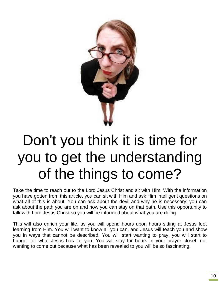

## Don't you think it is time for you to get the understanding of the things to come?

Take the time to reach out to the Lord Jesus Christ and sit with Him. With the information you have gotten from this article, you can sit with Him and ask Him intelligent questions on what all of this is about. You can ask about the devil and why he is necessary; you can ask about the path you are on and how you can stay on that path. Use this opportunity to talk with Lord Jesus Christ so you will be informed about what you are doing.

This will also enrich your life, as you will spend hours upon hours sitting at Jesus feet learning from Him. You will want to know all you can, and Jesus will teach you and show you in ways that cannot be described. You will start wanting to pray; you will start to hunger for what Jesus has for you. You will stay for hours in your prayer closet, not wanting to come out because what has been revealed to you will be so fascinating.